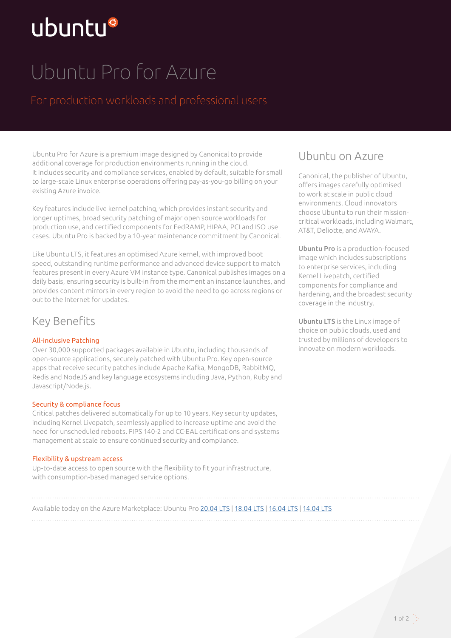# ubuntu®

## Ubuntu Pro for Azure

Ubuntu Pro for Azure is a premium image designed by Canonical to provide additional coverage for production environments running in the cloud. It includes security and compliance services, enabled by default, suitable for small to large-scale Linux enterprise operations offering pay-as-you-go billing on your existing Azure invoice.

Key features include live kernel patching, which provides instant security and longer uptimes, broad security patching of major open source workloads for production use, and certified components for FedRAMP, HIPAA, PCI and ISO use cases. Ubuntu Pro is backed by a 10-year maintenance commitment by Canonical.

Like Ubuntu LTS, it features an optimised Azure kernel, with improved boot speed, outstanding runtime performance and advanced device support to match features present in every Azure VM instance type. Canonical publishes images on a daily basis, ensuring security is built-in from the moment an instance launches, and provides content mirrors in every region to avoid the need to go across regions or out to the Internet for updates.

## Key Benefits

#### All-inclusive Patching

Over 30,000 supported packages available in Ubuntu, including thousands of open-source applications, securely patched with Ubuntu Pro. Key open-source apps that receive security patches include Apache Kafka, MongoDB, RabbitMQ, Redis and NodeJS and key language ecosystems including Java, Python, Ruby and Javascript/Node.js.

#### Security & compliance focus

Critical patches delivered automatically for up to 10 years. Key security updates, including Kernel Livepatch, seamlessly applied to increase uptime and avoid the need for unscheduled reboots. FIPS 140-2 and CC-EAL certifications and systems management at scale to ensure continued security and compliance.

#### Flexibility & upstream access

Up-to-date access to open source with the flexibility to fit your infrastructure, with consumption-based managed service options.

### Ubuntu on Azure

Canonical, the publisher of Ubuntu, offers images carefully optimised to work at scale in public cloud environments. Cloud innovators choose Ubuntu to run their missioncritical workloads, including Walmart, AT&T, Deliotte, and AVAYA.

Ubuntu Pro is a production-focused image which includes subscriptions to enterprise services, including Kernel Livepatch, certified components for compliance and hardening, and the broadest security coverage in the industry.

Ubuntu LTS is the Linux image of choice on public clouds, used and trusted by millions of developers to innovate on modern workloads.

Available today on the Azure Marketplace: Ubuntu Pro [20.04 LTS](https://azuremarketplace.microsoft.com/en-us/marketplace/apps/canonical.0001-com-ubuntu-pro-focal?tab=PlansAndPrice) | [18.04 LTS](https://azuremarketplace.microsoft.com/en-us/marketplace/apps/canonical.0001-com-ubuntu-pro-bionic?tab=Overview) | [16.04 LTS](https://azuremarketplace.microsoft.com/en-us/marketplace/apps/canonical.0001-com-ubuntu-pro-xenial?tab=Overview) | [14.04 LTS](https://azuremarketplace.microsoft.com/en-us/marketplace/apps/canonical.0001-com-ubuntu-pro-trusty?tab=Overview)